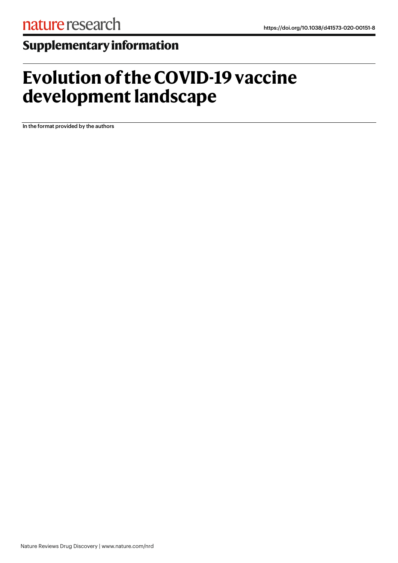## **Supplementaryinformation**

## **Evolution of the COVID-19 vaccine development landscape**

In the format provided by the authors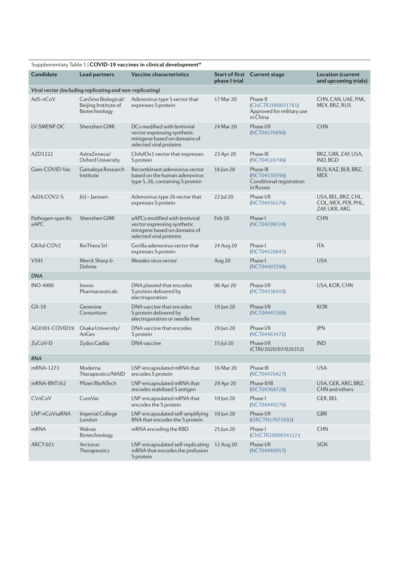| Supplementary Table 1   COVID-19 vaccines in clinical development* |                                                              |                                                                                                                          |                   |                                                                         |                                                             |  |  |  |  |
|--------------------------------------------------------------------|--------------------------------------------------------------|--------------------------------------------------------------------------------------------------------------------------|-------------------|-------------------------------------------------------------------------|-------------------------------------------------------------|--|--|--|--|
| <b>Candidate</b>                                                   | Lead partners                                                | <b>Vaccine characteristics</b>                                                                                           | phase I trial     | Start of first Current stage                                            | <b>Location (current</b><br>and upcoming trials)            |  |  |  |  |
| Viral vector (including replicating and non-replicating)           |                                                              |                                                                                                                          |                   |                                                                         |                                                             |  |  |  |  |
| Ad5-nCoV                                                           | CanSino Biological/<br>Beijing Institute of<br>Biotechnology | Adenovirus type 5 vector that<br>expresses S protein                                                                     | 17 Mar 20         | Phase II<br>(ChiCTR2000031781)<br>Approved for military use<br>in China | CHN, CAN, UAE, PAK,<br>MEX, BRZ, RUS                        |  |  |  |  |
| LV-SMENP-DC                                                        | Shenzhen GIMI                                                | DCs modified with lentiviral<br>vector expressing synthetic<br>minigene based on domains of<br>selected viral proteins   | 24 Mar 20         | Phase I/II<br>(NCT04276896)                                             | <b>CHN</b>                                                  |  |  |  |  |
| AZD1222                                                            | AstraZeneca/<br>Oxford University                            | ChAdOx1 vector that expresses<br>S protein                                                                               | 23 Apr 20         | Phase III<br>(NCT04516746)                                              | BRZ, GBR, ZAF, USA,<br>IND, BGD                             |  |  |  |  |
| Gam-COVID-Vac                                                      | Gamaleya Research<br>Institute                               | Recombinant adenovirus vector<br>based on the human adenovirus<br>type 5, 26, containing S protein                       | 18 Jun 20         | Phase III<br>(NCT04530396)<br>Conditional registration<br>in Russia     | RUS, KAZ, BLR, BRZ,<br><b>MEX</b>                           |  |  |  |  |
| Ad26.COV2-S                                                        | J&J-Janssen                                                  | Adenovirus type 26 vector that<br>expresses S protein                                                                    | 22 Jul 20         | Phase I/II<br>(NCT04436276)                                             | USA, BEL, BRZ, CHL,<br>COL, MEX, PER, PHL,<br>ZAF, UKR, ARG |  |  |  |  |
| Pathogen-specific<br>aAPC                                          | Shenzhen GIMI                                                | aAPCs modified with lentiviral<br>vector expressing synthetic<br>minigene based on domains of<br>selected viral proteins | Feb <sub>20</sub> | Phase I<br>(NCT04299724)                                                | <b>CHN</b>                                                  |  |  |  |  |
| GRAd-COV2                                                          | ReiThera Srl                                                 | Gorilla adenovirus vector that<br>expresses S protein                                                                    | 24 Aug 20         | Phase I<br>(NCT04528641)                                                | <b>ITA</b>                                                  |  |  |  |  |
| $V$ 591                                                            | Merck Sharp &<br>Dohme                                       | Measles virus vector                                                                                                     | Aug 20            | Phase I<br>(NCT04497298)                                                | <b>USA</b>                                                  |  |  |  |  |
| <b>DNA</b>                                                         |                                                              |                                                                                                                          |                   |                                                                         |                                                             |  |  |  |  |
| <b>INO-4800</b>                                                    | Inovio<br>Pharmaceuticals                                    | DNA plasmid that encodes<br>S protein delivered by<br>electroporation                                                    | 06 Apr 20         | Phase I/II<br>(NCT04336410)                                             | USA, KOR, CHN                                               |  |  |  |  |
| $GX-19$                                                            | Genexine<br>Consortium                                       | DNA vaccine that encodes<br>S protein delivered by<br>electroporation or needle free                                     | 19 Jun 20         | Phase I/II<br>(NCT04445389)                                             | <b>KOR</b>                                                  |  |  |  |  |
| AG0301-COVID19                                                     | Osaka University/<br>AnGes                                   | DNA vaccine that encodes<br>S protein                                                                                    | 29 Jun 20         | Phase I/II<br>(NCT04463472)                                             | <b>JPN</b>                                                  |  |  |  |  |
| ZyCoV-D                                                            | Zydus Cadila                                                 | DNA vaccine                                                                                                              | 15 Jul 20         | Phase I/II<br>(CTRI/2020/07/026352)                                     | <b>IND</b>                                                  |  |  |  |  |
| <b>RNA</b>                                                         |                                                              |                                                                                                                          |                   |                                                                         |                                                             |  |  |  |  |
| mRNA-1273                                                          | Moderna<br>Therapeutics/NIAID                                | LNP-encapsulated mRNA that<br>encodes S protein                                                                          | 16 Mar 20         | Phase III<br>(NCT04470427)                                              | <b>USA</b>                                                  |  |  |  |  |
| mRNA-BNT162                                                        | Pfizer/BioNTech                                              | LNP-encapsulated mRNA that<br>encodes stabilised S antigen                                                               | 29 Apr 20         | Phase II/III<br>(NCT04368728)                                           | USA, GER, ARG, BRZ,<br>CHN and others                       |  |  |  |  |
| CVnCoV                                                             | CureVac                                                      | LNP-encapsulated mRNA that<br>encodes the S protein                                                                      | 19 Jun 20         | Phase I<br>(NCT04449276)                                                | GER, BEL                                                    |  |  |  |  |
| LNP-nCoVsaRNA                                                      | Imperial College<br>London                                   | LNP-encapsulated self-amplifying<br>RNA that encodes the S protein                                                       | 19 Jun 20         | Phase I/II<br>(ISRCTN17072692)                                          | <b>GBR</b>                                                  |  |  |  |  |
| mRNA                                                               | Walvax<br>Biotechnology                                      | mRNA encoding the RBD                                                                                                    | 25 Jun 20         | Phase I<br>(ChiCTR2000034112)                                           | <b>CHN</b>                                                  |  |  |  |  |
| <b>ARCT-021</b>                                                    | <b>Arcturus</b><br>Therapeutics                              | LNP-encapsulated self-replicating<br>mRNA that encodes the prefusion<br>S protein                                        | 12 Aug 20         | Phase I/II<br>(NCT04480957)                                             | <b>SGN</b>                                                  |  |  |  |  |